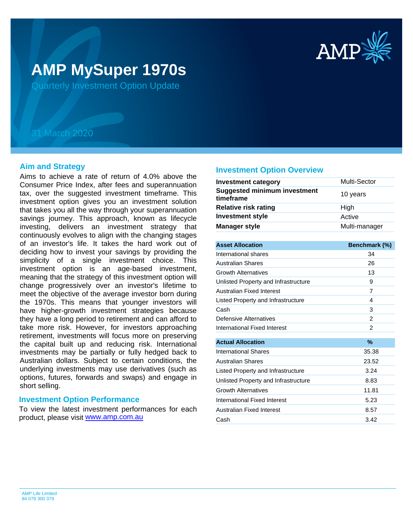

# **AMP MySuper 1970s**

Quarterly Investment Option Update

## 31 March 2020

## **Aim and Strategy**

Aims to achieve a rate of return of 4.0% above the Consumer Price Index, after fees and superannuation tax, over the suggested investment timeframe. This investment option gives you an investment solution that takes you all the way through your superannuation savings journey. This approach, known as lifecycle investing, delivers an investment strategy that continuously evolves to align with the changing stages of an investor's life. It takes the hard work out of deciding how to invest your savings by providing the simplicity of a single investment choice. This investment option is an age-based investment, meaning that the strategy of this investment option will change progressively over an investor's lifetime to meet the objective of the average investor born during the 1970s. This means that younger investors will have higher-growth investment strategies because they have a long period to retirement and can afford to take more risk. However, for investors approaching retirement, investments will focus more on preserving the capital built up and reducing risk. International investments may be partially or fully hedged back to Australian dollars. Subject to certain conditions, the underlying investments may use derivatives (such as options, futures, forwards and swaps) and engage in short selling.

### **Investment Option Performance**

product, please visit **[www.amp.com.au](https://www.amp.com.au)** To view the latest investment performances for each

#### **Investment Option Overview**

| <b>Investment category</b>                       | Multi-Sector  |
|--------------------------------------------------|---------------|
| <b>Suggested minimum investment</b><br>timeframe | 10 years      |
| <b>Relative risk rating</b>                      | High          |
| <b>Investment style</b>                          | Active        |
| <b>Manager style</b>                             | Multi-manager |

| <b>Asset Allocation</b>              | Benchmark (%) |
|--------------------------------------|---------------|
| International shares                 | 34            |
| <b>Australian Shares</b>             | 26            |
| <b>Growth Alternatives</b>           | 13            |
| Unlisted Property and Infrastructure | 9             |
| Australian Fixed Interest            | 7             |
| Listed Property and Infrastructure   | 4             |
| Cash                                 | 3             |
| Defensive Alternatives               | 2             |
| International Fixed Interest         | 2             |
|                                      |               |
| <b>Actual Allocation</b>             | $\%$          |
| International Shares                 | 35.38         |
| <b>Australian Shares</b>             | 23.52         |
| Listed Property and Infrastructure   | 3.24          |
| Unlisted Property and Infrastructure | 8.83          |
| <b>Growth Alternatives</b>           | 11.81         |
| International Fixed Interest         | 5.23          |
| Australian Fixed Interest            | 8.57          |
| Cash                                 | 3.42          |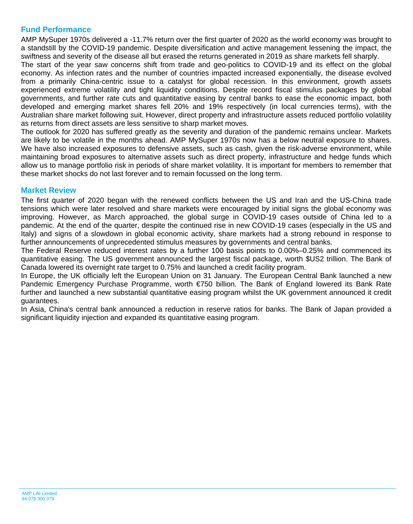## **Fund Performance**

AMP MySuper 1970s delivered a -11.7% return over the first quarter of 2020 as the world economy was brought to a standstill by the COVID-19 pandemic. Despite diversification and active management lessening the impact, the swiftness and severity of the disease all but erased the returns generated in 2019 as share markets fell sharply.

The start of the year saw concerns shift from trade and geo-politics to COVID-19 and its effect on the global economy. As infection rates and the number of countries impacted increased exponentially, the disease evolved from a primarily China-centric issue to a catalyst for global recession. In this environment, growth assets experienced extreme volatility and tight liquidity conditions. Despite record fiscal stimulus packages by global governments, and further rate cuts and quantitative easing by central banks to ease the economic impact, both developed and emerging market shares fell 20% and 19% respectively (in local currencies terms), with the Australian share market following suit. However, direct property and infrastructure assets reduced portfolio volatility as returns from direct assets are less sensitive to sharp market moves.

The outlook for 2020 has suffered greatly as the severity and duration of the pandemic remains unclear. Markets are likely to be volatile in the months ahead. AMP MySuper 1970s now has a below neutral exposure to shares. We have also increased exposures to defensive assets, such as cash, given the risk-adverse environment, while maintaining broad exposures to alternative assets such as direct property, infrastructure and hedge funds which allow us to manage portfolio risk in periods of share market volatility. It is important for members to remember that these market shocks do not last forever and to remain focussed on the long term.

## **Market Review**

The first quarter of 2020 began with the renewed conflicts between the US and Iran and the US-China trade tensions which were later resolved and share markets were encouraged by initial signs the global economy was improving. However, as March approached, the global surge in COVID-19 cases outside of China led to a pandemic. At the end of the quarter, despite the continued rise in new COVID-19 cases (especially in the US and Italy) and signs of a slowdown in global economic activity, share markets had a strong rebound in response to further announcements of unprecedented stimulus measures by governments and central banks.

The Federal Reserve reduced interest rates by a further 100 basis points to 0.00%–0.25% and commenced its quantitative easing. The US government announced the largest fiscal package, worth \$US2 trillion. The Bank of Canada lowered its overnight rate target to 0.75% and launched a credit facility program.

In Europe, the UK officially left the European Union on 31 January. The European Central Bank launched a new Pandemic Emergency Purchase Programme, worth €750 billion. The Bank of England lowered its Bank Rate further and launched a new substantial quantitative easing program whilst the UK government announced it credit guarantees.

In Asia, China's central bank announced a reduction in reserve ratios for banks. The Bank of Japan provided a significant liquidity injection and expanded its quantitative easing program.